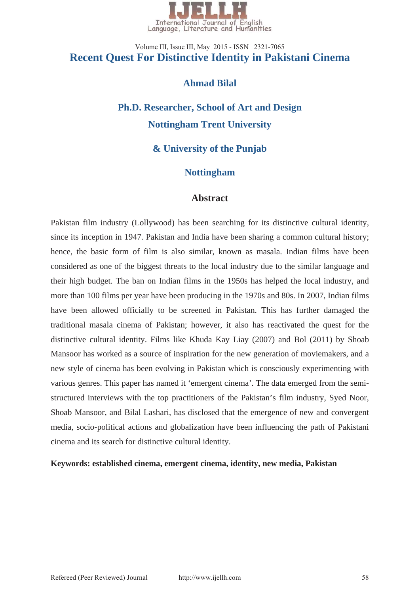

# **Recent Quest For Distinctive Identity in Pakistani Cinema**  Volume III, Issue III, May 2015 - ISSN 2321-7065

## **Ahmad Bilal**

# **Ph.D. Researcher, School of Art and Design Nottingham Trent University**

## **& University of the Punjab**

## **Nottingham**

## **Abstract**

Pakistan film industry (Lollywood) has been searching for its distinctive cultural identity, since its inception in 1947. Pakistan and India have been sharing a common cultural history; hence, the basic form of film is also similar, known as masala. Indian films have been considered as one of the biggest threats to the local industry due to the similar language and their high budget. The ban on Indian films in the 1950s has helped the local industry, and more than 100 films per year have been producing in the 1970s and 80s. In 2007, Indian films have been allowed officially to be screened in Pakistan. This has further damaged the traditional masala cinema of Pakistan; however, it also has reactivated the quest for the distinctive cultural identity. Films like Khuda Kay Liay (2007) and Bol (2011) by Shoab Mansoor has worked as a source of inspiration for the new generation of moviemakers, and a new style of cinema has been evolving in Pakistan which is consciously experimenting with various genres. This paper has named it 'emergent cinema'. The data emerged from the semistructured interviews with the top practitioners of the Pakistan's film industry, Syed Noor, Shoab Mansoor, and Bilal Lashari, has disclosed that the emergence of new and convergent media, socio-political actions and globalization have been influencing the path of Pakistani cinema and its search for distinctive cultural identity.

#### **Keywords: established cinema, emergent cinema, identity, new media, Pakistan**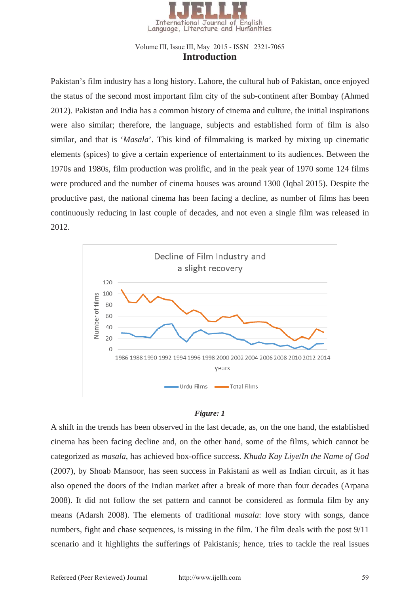

#### **Introduction** Volume III, Issue III, May 2015 - ISSN 2321-7065

Pakistan's film industry has a long history. Lahore, the cultural hub of Pakistan, once enjoyed the status of the second most important film city of the sub-continent after Bombay (Ahmed 2012). Pakistan and India has a common history of cinema and culture, the initial inspirations were also similar; therefore, the language, subjects and established form of film is also similar, and that is '*Masala*'. This kind of filmmaking is marked by mixing up cinematic elements (spices) to give a certain experience of entertainment to its audiences. Between the 1970s and 1980s, film production was prolific, and in the peak year of 1970 some 124 films were produced and the number of cinema houses was around 1300 (Iqbal 2015). Despite the productive past, the national cinema has been facing a decline, as number of films has been continuously reducing in last couple of decades, and not even a single film was released in 2012.



#### *Figure: 1*

A shift in the trends has been observed in the last decade, as, on the one hand, the established cinema has been facing decline and, on the other hand, some of the films, which cannot be categorized as *masala*, has achieved box-office success. *Khuda Kay Liye*/*In the Name of God* (2007), by Shoab Mansoor, has seen success in Pakistani as well as Indian circuit, as it has also opened the doors of the Indian market after a break of more than four decades (Arpana 2008). It did not follow the set pattern and cannot be considered as formula film by any means (Adarsh 2008). The elements of traditional *masala*: love story with songs, dance numbers, fight and chase sequences, is missing in the film. The film deals with the post 9/11 scenario and it highlights the sufferings of Pakistanis; hence, tries to tackle the real issues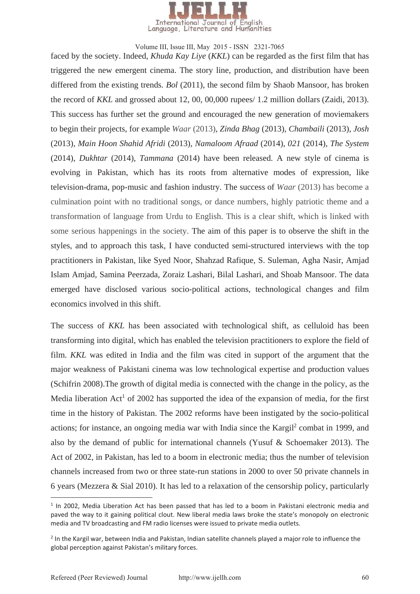

faced by the society. Indeed, *Khuda Kay Liye* (*KKL*) can be regarded as the first film that has triggered the new emergent cinema. The story line, production, and distribution have been differed from the existing trends*. Bol* (2011), the second film by Shaob Mansoor, has broken the record of *KKL* and grossed about 12, 00, 00,000 rupees/ 1.2 million dollars (Zaidi, 2013). This success has further set the ground and encouraged the new generation of moviemakers to begin their projects, for example *Waar* (2013), *Zinda Bhag* (2013), *Chambaili* (2013), *Josh* (2013), *Main Hoon Shahid Afridi* (2013), *Namaloom Afraad* (2014), *021* (2014), *The System*  (2014), *Dukhtar* (2014), *Tammana* (2014) have been released. A new style of cinema is evolving in Pakistan, which has its roots from alternative modes of expression, like television-drama, pop-music and fashion industry. The success of *Waar* (2013) has become a culmination point with no traditional songs, or dance numbers, highly patriotic theme and a transformation of language from Urdu to English. This is a clear shift, which is linked with some serious happenings in the society. The aim of this paper is to observe the shift in the styles, and to approach this task, I have conducted semi-structured interviews with the top practitioners in Pakistan, like Syed Noor, Shahzad Rafique, S. Suleman, Agha Nasir, Amjad Islam Amjad, Samina Peerzada, Zoraiz Lashari, Bilal Lashari, and Shoab Mansoor. The data emerged have disclosed various socio-political actions, technological changes and film economics involved in this shift.

The success of *KKL* has been associated with technological shift, as celluloid has been transforming into digital, which has enabled the television practitioners to explore the field of film. *KKL* was edited in India and the film was cited in support of the argument that the major weakness of Pakistani cinema was low technological expertise and production values (Schifrin 2008).The growth of digital media is connected with the change in the policy, as the Media liberation Act<sup>1</sup> of 2002 has supported the idea of the expansion of media, for the first time in the history of Pakistan. The 2002 reforms have been instigated by the socio-political actions; for instance, an ongoing media war with India since the Kargil<sup>2</sup> combat in 1999, and also by the demand of public for international channels (Yusuf & Schoemaker 2013). The Act of 2002, in Pakistan, has led to a boom in electronic media; thus the number of television channels increased from two or three state-run stations in 2000 to over 50 private channels in 6 years (Mezzera & Sial 2010). It has led to a relaxation of the censorship policy, particularly

 $1$  In 2002, Media Liberation Act has been passed that has led to a boom in Pakistani electronic media and paved the way to it gaining political clout. New liberal media laws broke the state's monopoly on electronic media and TV broadcasting and FM radio licenses were issued to private media outlets.

<sup>&</sup>lt;sup>2</sup> In the Kargil war, between India and Pakistan, Indian satellite channels played a major role to influence the global perception against Pakistan's military forces.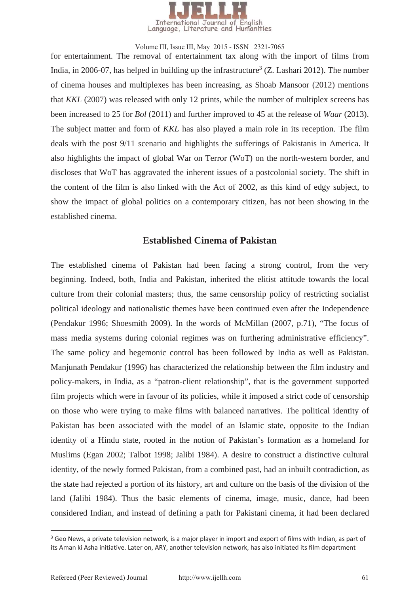

for entertainment. The removal of entertainment tax along with the import of films from India, in 2006-07, has helped in building up the infrastructure<sup>3</sup> (Z. Lashari 2012). The number of cinema houses and multiplexes has been increasing, as Shoab Mansoor (2012) mentions that *KKL* (2007) was released with only 12 prints, while the number of multiplex screens has been increased to 25 for *Bol* (2011) and further improved to 45 at the release of *Waar* (2013). The subject matter and form of *KKL* has also played a main role in its reception. The film deals with the post 9/11 scenario and highlights the sufferings of Pakistanis in America. It also highlights the impact of global War on Terror (WoT) on the north-western border, and discloses that WoT has aggravated the inherent issues of a postcolonial society. The shift in the content of the film is also linked with the Act of 2002, as this kind of edgy subject, to show the impact of global politics on a contemporary citizen, has not been showing in the established cinema.

#### **Established Cinema of Pakistan**

The established cinema of Pakistan had been facing a strong control, from the very beginning. Indeed, both, India and Pakistan, inherited the elitist attitude towards the local culture from their colonial masters; thus, the same censorship policy of restricting socialist political ideology and nationalistic themes have been continued even after the Independence (Pendakur 1996; Shoesmith 2009). In the words of McMillan (2007, p.71), "The focus of mass media systems during colonial regimes was on furthering administrative efficiency". The same policy and hegemonic control has been followed by India as well as Pakistan. Manjunath Pendakur (1996) has characterized the relationship between the film industry and policy-makers, in India, as a "patron-client relationship", that is the government supported film projects which were in favour of its policies, while it imposed a strict code of censorship on those who were trying to make films with balanced narratives. The political identity of Pakistan has been associated with the model of an Islamic state, opposite to the Indian identity of a Hindu state, rooted in the notion of Pakistan's formation as a homeland for Muslims (Egan 2002; Talbot 1998; Jalibi 1984). A desire to construct a distinctive cultural identity, of the newly formed Pakistan, from a combined past, had an inbuilt contradiction, as the state had rejected a portion of its history, art and culture on the basis of the division of the land (Jalibi 1984). Thus the basic elements of cinema, image, music, dance, had been considered Indian, and instead of defining a path for Pakistani cinema, it had been declared

-

<sup>&</sup>lt;sup>3</sup> Geo News, a private television network, is a major player in import and export of films with Indian, as part of its Aman ki Asha initiative. Later on, ARY, another television network, has also initiated its film department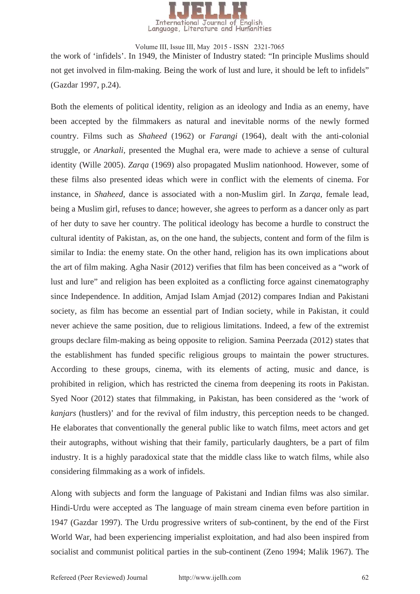

the work of 'infidels'. In 1949, the Minister of Industry stated: "In principle Muslims should not get involved in film-making. Being the work of lust and lure, it should be left to infidels" (Gazdar 1997, p.24). Volume III, Issue III, May 2015 - ISSN 2321-7065

Both the elements of political identity, religion as an ideology and India as an enemy, have been accepted by the filmmakers as natural and inevitable norms of the newly formed country. Films such as *Shaheed* (1962) or *Farangi* (1964), dealt with the anti-colonial struggle, or *Anarkali,* presented the Mughal era, were made to achieve a sense of cultural identity (Wille 2005). *Zarqa* (1969) also propagated Muslim nationhood. However, some of these films also presented ideas which were in conflict with the elements of cinema. For instance, in *Shaheed*, dance is associated with a non-Muslim girl. In *Zarqa*, female lead, being a Muslim girl, refuses to dance; however, she agrees to perform as a dancer only as part of her duty to save her country. The political ideology has become a hurdle to construct the cultural identity of Pakistan, as, on the one hand, the subjects, content and form of the film is similar to India: the enemy state. On the other hand, religion has its own implications about the art of film making. Agha Nasir (2012) verifies that film has been conceived as a "work of lust and lure" and religion has been exploited as a conflicting force against cinematography since Independence. In addition, Amjad Islam Amjad (2012) compares Indian and Pakistani society, as film has become an essential part of Indian society, while in Pakistan, it could never achieve the same position, due to religious limitations. Indeed, a few of the extremist groups declare film-making as being opposite to religion. Samina Peerzada (2012) states that the establishment has funded specific religious groups to maintain the power structures. According to these groups, cinema, with its elements of acting, music and dance, is prohibited in religion, which has restricted the cinema from deepening its roots in Pakistan. Syed Noor (2012) states that filmmaking, in Pakistan, has been considered as the 'work of *kanjars* (hustlers)' and for the revival of film industry, this perception needs to be changed. He elaborates that conventionally the general public like to watch films, meet actors and get their autographs, without wishing that their family, particularly daughters, be a part of film industry. It is a highly paradoxical state that the middle class like to watch films, while also considering filmmaking as a work of infidels.

Along with subjects and form the language of Pakistani and Indian films was also similar. Hindi-Urdu were accepted as The language of main stream cinema even before partition in 1947 (Gazdar 1997). The Urdu progressive writers of sub-continent, by the end of the First World War, had been experiencing imperialist exploitation, and had also been inspired from socialist and communist political parties in the sub-continent (Zeno 1994; Malik 1967). The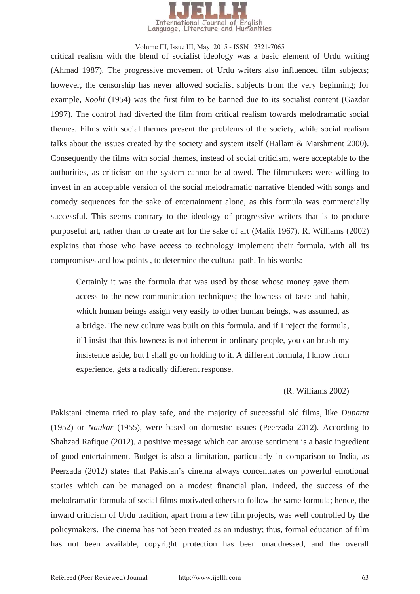

critical realism with the blend of socialist ideology was a basic element of Urdu writing (Ahmad 1987). The progressive movement of Urdu writers also influenced film subjects; however, the censorship has never allowed socialist subjects from the very beginning; for example, *Roohi* (1954) was the first film to be banned due to its socialist content (Gazdar 1997). The control had diverted the film from critical realism towards melodramatic social themes. Films with social themes present the problems of the society, while social realism talks about the issues created by the society and system itself (Hallam & Marshment 2000). Consequently the films with social themes, instead of social criticism, were acceptable to the authorities, as criticism on the system cannot be allowed. The filmmakers were willing to invest in an acceptable version of the social melodramatic narrative blended with songs and comedy sequences for the sake of entertainment alone, as this formula was commercially successful. This seems contrary to the ideology of progressive writers that is to produce purposeful art, rather than to create art for the sake of art (Malik 1967). R. Williams (2002) explains that those who have access to technology implement their formula, with all its compromises and low points , to determine the cultural path. In his words:

Certainly it was the formula that was used by those whose money gave them access to the new communication techniques; the lowness of taste and habit, which human beings assign very easily to other human beings, was assumed, as a bridge. The new culture was built on this formula, and if I reject the formula, if I insist that this lowness is not inherent in ordinary people, you can brush my insistence aside, but I shall go on holding to it. A different formula, I know from experience, gets a radically different response.

#### (R. Williams 2002)

Pakistani cinema tried to play safe, and the majority of successful old films, like *Dupatta* (1952) or *Naukar* (1955), were based on domestic issues (Peerzada 2012). According to Shahzad Rafique (2012), a positive message which can arouse sentiment is a basic ingredient of good entertainment. Budget is also a limitation, particularly in comparison to India, as Peerzada (2012) states that Pakistan's cinema always concentrates on powerful emotional stories which can be managed on a modest financial plan. Indeed, the success of the melodramatic formula of social films motivated others to follow the same formula; hence, the inward criticism of Urdu tradition, apart from a few film projects, was well controlled by the policymakers. The cinema has not been treated as an industry; thus, formal education of film has not been available, copyright protection has been unaddressed, and the overall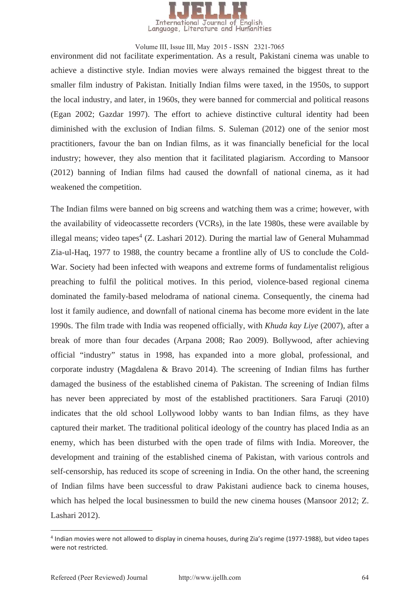

environment did not facilitate experimentation. As a result, Pakistani cinema was unable to achieve a distinctive style. Indian movies were always remained the biggest threat to the smaller film industry of Pakistan. Initially Indian films were taxed, in the 1950s, to support the local industry, and later, in 1960s, they were banned for commercial and political reasons (Egan 2002; Gazdar 1997). The effort to achieve distinctive cultural identity had been diminished with the exclusion of Indian films. S. Suleman (2012) one of the senior most practitioners, favour the ban on Indian films, as it was financially beneficial for the local industry; however, they also mention that it facilitated plagiarism. According to Mansoor (2012) banning of Indian films had caused the downfall of national cinema, as it had weakened the competition.

The Indian films were banned on big screens and watching them was a crime; however, with the availability of videocassette recorders (VCRs), in the late 1980s, these were available by illegal means; video tapes<sup>4</sup> (Z. Lashari 2012). During the martial law of General Muhammad Zia-ul-Haq, 1977 to 1988, the country became a frontline ally of US to conclude the Cold-War. Society had been infected with weapons and extreme forms of fundamentalist religious preaching to fulfil the political motives. In this period, violence-based regional cinema dominated the family-based melodrama of national cinema. Consequently, the cinema had lost it family audience, and downfall of national cinema has become more evident in the late 1990s. The film trade with India was reopened officially, with *Khuda kay Liye* (2007), after a break of more than four decades (Arpana 2008; Rao 2009). Bollywood, after achieving official "industry" status in 1998, has expanded into a more global, professional, and corporate industry (Magdalena & Bravo 2014). The screening of Indian films has further damaged the business of the established cinema of Pakistan. The screening of Indian films has never been appreciated by most of the established practitioners. Sara Faruqi (2010) indicates that the old school Lollywood lobby wants to ban Indian films, as they have captured their market. The traditional political ideology of the country has placed India as an enemy, which has been disturbed with the open trade of films with India. Moreover, the development and training of the established cinema of Pakistan, with various controls and self-censorship, has reduced its scope of screening in India. On the other hand, the screening of Indian films have been successful to draw Pakistani audience back to cinema houses, which has helped the local businessmen to build the new cinema houses (Mansoor 2012; Z. Lashari 2012).

-

<sup>&</sup>lt;sup>4</sup> Indian movies were not allowed to display in cinema houses, during Zia's regime (1977-1988), but video tapes were not restricted.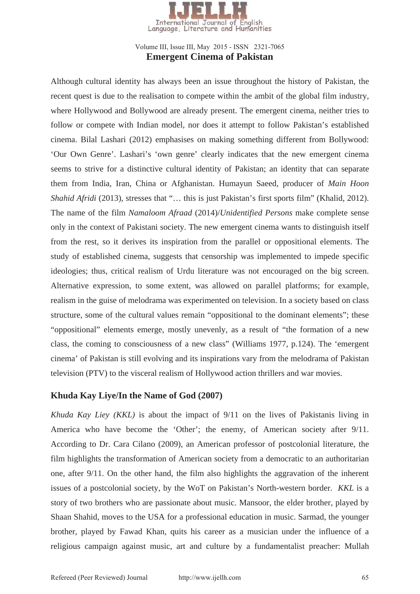

#### **Emergent Cinema of Pakistan**  Volume III, Issue III, May 2015 - ISSN 2321-7065

Although cultural identity has always been an issue throughout the history of Pakistan, the recent quest is due to the realisation to compete within the ambit of the global film industry, where Hollywood and Bollywood are already present. The emergent cinema, neither tries to follow or compete with Indian model, nor does it attempt to follow Pakistan's established cinema. Bilal Lashari (2012) emphasises on making something different from Bollywood: 'Our Own Genre'. Lashari's 'own genre' clearly indicates that the new emergent cinema seems to strive for a distinctive cultural identity of Pakistan; an identity that can separate them from India, Iran, China or Afghanistan. Humayun Saeed, producer of *Main Hoon Shahid Afridi* (2013), stresses that "... this is just Pakistan's first sports film" (Khalid, 2012). The name of the film *Namaloom Afraad* (2014)/*Unidentified Persons* make complete sense only in the context of Pakistani society. The new emergent cinema wants to distinguish itself from the rest, so it derives its inspiration from the parallel or oppositional elements. The study of established cinema, suggests that censorship was implemented to impede specific ideologies; thus, critical realism of Urdu literature was not encouraged on the big screen. Alternative expression, to some extent, was allowed on parallel platforms; for example, realism in the guise of melodrama was experimented on television. In a society based on class structure, some of the cultural values remain "oppositional to the dominant elements"; these "oppositional" elements emerge, mostly unevenly, as a result of "the formation of a new class, the coming to consciousness of a new class" (Williams 1977, p.124). The 'emergent cinema' of Pakistan is still evolving and its inspirations vary from the melodrama of Pakistan television (PTV) to the visceral realism of Hollywood action thrillers and war movies.

## **Khuda Kay Liye/In the Name of God (2007)**

*Khuda Kay Liey (KKL)* is about the impact of 9/11 on the lives of Pakistanis living in America who have become the 'Other'; the enemy, of American society after 9/11. According to Dr. Cara Cilano (2009), an American professor of postcolonial literature, the film highlights the transformation of American society from a democratic to an authoritarian one, after 9/11. On the other hand, the film also highlights the aggravation of the inherent issues of a postcolonial society, by the WoT on Pakistan's North-western border. *KKL* is a story of two brothers who are passionate about music. Mansoor, the elder brother, played by Shaan Shahid, moves to the USA for a professional education in music. Sarmad, the younger brother, played by Fawad Khan, quits his career as a musician under the influence of a religious campaign against music, art and culture by a fundamentalist preacher: Mullah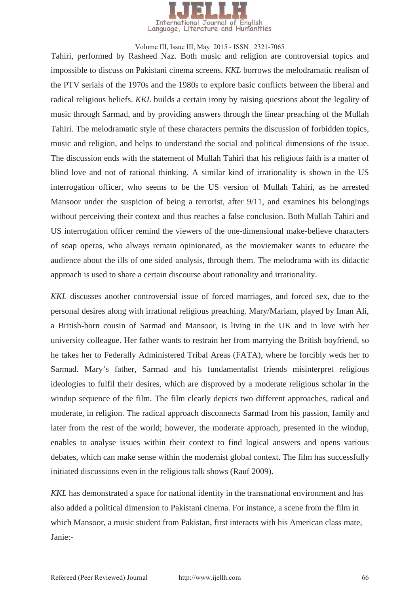

Tahiri, performed by Rasheed Naz. Both music and religion are controversial topics and impossible to discuss on Pakistani cinema screens. *KKL* borrows the melodramatic realism of the PTV serials of the 1970s and the 1980s to explore basic conflicts between the liberal and radical religious beliefs. *KKL* builds a certain irony by raising questions about the legality of music through Sarmad, and by providing answers through the linear preaching of the Mullah Tahiri. The melodramatic style of these characters permits the discussion of forbidden topics, music and religion, and helps to understand the social and political dimensions of the issue. The discussion ends with the statement of Mullah Tahiri that his religious faith is a matter of blind love and not of rational thinking. A similar kind of irrationality is shown in the US interrogation officer, who seems to be the US version of Mullah Tahiri, as he arrested Mansoor under the suspicion of being a terrorist, after 9/11, and examines his belongings without perceiving their context and thus reaches a false conclusion. Both Mullah Tahiri and US interrogation officer remind the viewers of the one-dimensional make-believe characters of soap operas, who always remain opinionated, as the moviemaker wants to educate the audience about the ills of one sided analysis, through them. The melodrama with its didactic approach is used to share a certain discourse about rationality and irrationality.

*KKL* discusses another controversial issue of forced marriages, and forced sex, due to the personal desires along with irrational religious preaching. Mary/Mariam, played by Iman Ali, a British-born cousin of Sarmad and Mansoor, is living in the UK and in love with her university colleague. Her father wants to restrain her from marrying the British boyfriend, so he takes her to Federally Administered Tribal Areas (FATA), where he forcibly weds her to Sarmad. Mary's father, Sarmad and his fundamentalist friends misinterpret religious ideologies to fulfil their desires, which are disproved by a moderate religious scholar in the windup sequence of the film. The film clearly depicts two different approaches, radical and moderate, in religion. The radical approach disconnects Sarmad from his passion, family and later from the rest of the world; however, the moderate approach, presented in the windup, enables to analyse issues within their context to find logical answers and opens various debates, which can make sense within the modernist global context. The film has successfully initiated discussions even in the religious talk shows (Rauf 2009).

*KKL* has demonstrated a space for national identity in the transnational environment and has also added a political dimension to Pakistani cinema. For instance, a scene from the film in which Mansoor, a music student from Pakistan, first interacts with his American class mate, Janie:-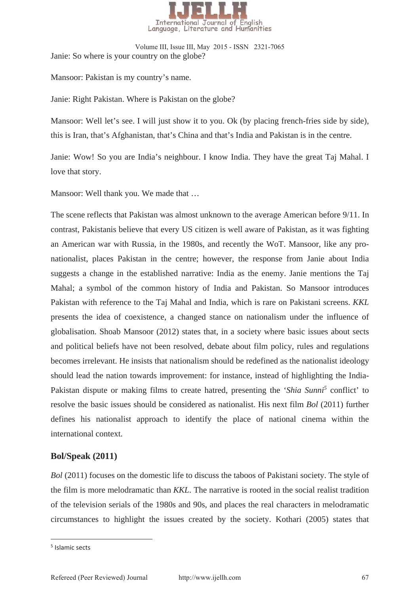

Janie: So where is your country on the globe? Volume III, Issue III, May 2015 - ISSN 2321-7065

Mansoor: Pakistan is my country's name.

Janie: Right Pakistan. Where is Pakistan on the globe?

Mansoor: Well let's see. I will just show it to you. Ok (by placing french-fries side by side), this is Iran, that's Afghanistan, that's China and that's India and Pakistan is in the centre.

Janie: Wow! So you are India's neighbour. I know India. They have the great Taj Mahal. I love that story.

Mansoor: Well thank you. We made that …

The scene reflects that Pakistan was almost unknown to the average American before 9/11. In contrast, Pakistanis believe that every US citizen is well aware of Pakistan, as it was fighting an American war with Russia, in the 1980s, and recently the WoT. Mansoor, like any pronationalist, places Pakistan in the centre; however, the response from Janie about India suggests a change in the established narrative: India as the enemy. Janie mentions the Taj Mahal; a symbol of the common history of India and Pakistan. So Mansoor introduces Pakistan with reference to the Taj Mahal and India, which is rare on Pakistani screens. *KKL*  presents the idea of coexistence, a changed stance on nationalism under the influence of globalisation. Shoab Mansoor (2012) states that, in a society where basic issues about sects and political beliefs have not been resolved, debate about film policy, rules and regulations becomes irrelevant. He insists that nationalism should be redefined as the nationalist ideology should lead the nation towards improvement: for instance, instead of highlighting the India-Pakistan dispute or making films to create hatred, presenting the '*Shia Sunni<sup>5</sup>* conflict' to resolve the basic issues should be considered as nationalist. His next film *Bol* (2011) further defines his nationalist approach to identify the place of national cinema within the international context.

#### **Bol/Speak (2011)**

*Bol* (2011) focuses on the domestic life to discuss the taboos of Pakistani society. The style of the film is more melodramatic than *KKL*. The narrative is rooted in the social realist tradition of the television serials of the 1980s and 90s, and places the real characters in melodramatic circumstances to highlight the issues created by the society. Kothari (2005) states that

-

<sup>5</sup> Islamic sects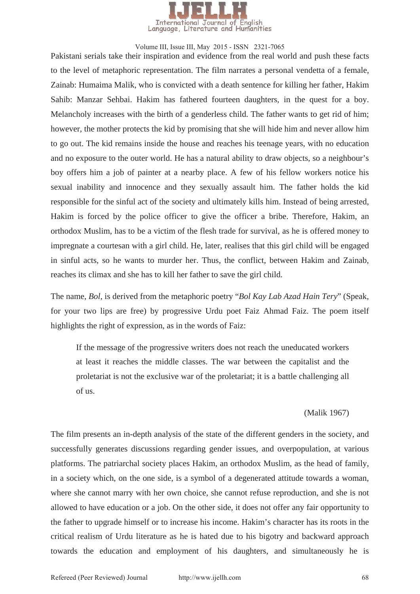

Pakistani serials take their inspiration and evidence from the real world and push these facts to the level of metaphoric representation. The film narrates a personal vendetta of a female, Zainab: Humaima Malik, who is convicted with a death sentence for killing her father, Hakim Sahib: Manzar Sehbai. Hakim has fathered fourteen daughters, in the quest for a boy. Melancholy increases with the birth of a genderless child. The father wants to get rid of him; however, the mother protects the kid by promising that she will hide him and never allow him to go out. The kid remains inside the house and reaches his teenage years, with no education and no exposure to the outer world. He has a natural ability to draw objects, so a neighbour's boy offers him a job of painter at a nearby place. A few of his fellow workers notice his sexual inability and innocence and they sexually assault him. The father holds the kid responsible for the sinful act of the society and ultimately kills him. Instead of being arrested, Hakim is forced by the police officer to give the officer a bribe. Therefore, Hakim, an orthodox Muslim, has to be a victim of the flesh trade for survival, as he is offered money to impregnate a courtesan with a girl child. He, later, realises that this girl child will be engaged in sinful acts, so he wants to murder her. Thus, the conflict, between Hakim and Zainab, reaches its climax and she has to kill her father to save the girl child.

The name, *Bol*, is derived from the metaphoric poetry "*Bol Kay Lab Azad Hain Tery*" (Speak, for your two lips are free) by progressive Urdu poet Faiz Ahmad Faiz. The poem itself highlights the right of expression, as in the words of Faiz:

If the message of the progressive writers does not reach the uneducated workers at least it reaches the middle classes. The war between the capitalist and the proletariat is not the exclusive war of the proletariat; it is a battle challenging all of us.

(Malik 1967)

The film presents an in-depth analysis of the state of the different genders in the society, and successfully generates discussions regarding gender issues, and overpopulation, at various platforms. The patriarchal society places Hakim, an orthodox Muslim, as the head of family, in a society which, on the one side, is a symbol of a degenerated attitude towards a woman, where she cannot marry with her own choice, she cannot refuse reproduction, and she is not allowed to have education or a job. On the other side, it does not offer any fair opportunity to the father to upgrade himself or to increase his income. Hakim's character has its roots in the critical realism of Urdu literature as he is hated due to his bigotry and backward approach towards the education and employment of his daughters, and simultaneously he is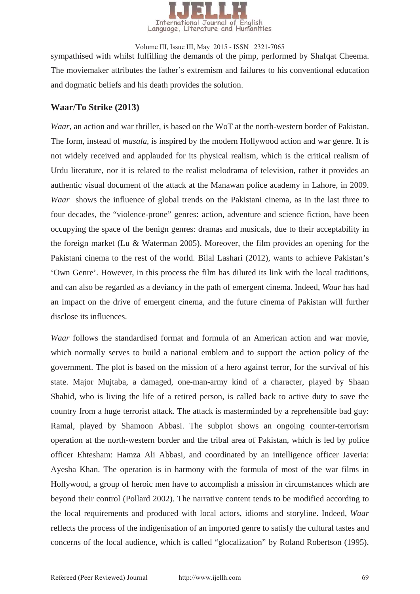

sympathised with whilst fulfilling the demands of the pimp, performed by Shafqat Cheema. The moviemaker attributes the father's extremism and failures to his conventional education and dogmatic beliefs and his death provides the solution. Volume III, Issue III, May 2015 - ISSN 2321-7065

## **Waar/To Strike (2013)**

*Waar*, an action and war thriller, is based on the WoT at the north-western border of Pakistan. The form, instead of *masala*, is inspired by the modern Hollywood action and war genre. It is not widely received and applauded for its physical realism, which is the critical realism of Urdu literature, nor it is related to the realist melodrama of television, rather it provides an authentic visual document of the attack at the Manawan police academy in Lahore, in 2009. *Waar* shows the influence of global trends on the Pakistani cinema, as in the last three to four decades, the "violence-prone" genres: action, adventure and science fiction, have been occupying the space of the benign genres: dramas and musicals, due to their acceptability in the foreign market (Lu & Waterman 2005). Moreover, the film provides an opening for the Pakistani cinema to the rest of the world. Bilal Lashari (2012), wants to achieve Pakistan's 'Own Genre'. However, in this process the film has diluted its link with the local traditions, and can also be regarded as a deviancy in the path of emergent cinema. Indeed, *Waar* has had an impact on the drive of emergent cinema, and the future cinema of Pakistan will further disclose its influences.

*Waar* follows the standardised format and formula of an American action and war movie, which normally serves to build a national emblem and to support the action policy of the government. The plot is based on the mission of a hero against terror, for the survival of his state. Major Mujtaba, a damaged, one-man-army kind of a character, played by Shaan Shahid, who is living the life of a retired person, is called back to active duty to save the country from a huge terrorist attack. The attack is masterminded by a reprehensible bad guy: Ramal, played by Shamoon Abbasi. The subplot shows an ongoing counter-terrorism operation at the north-western border and the tribal area of Pakistan, which is led by police officer Ehtesham: Hamza Ali Abbasi, and coordinated by an intelligence officer Javeria: Ayesha Khan. The operation is in harmony with the formula of most of the war films in Hollywood, a group of heroic men have to accomplish a mission in circumstances which are beyond their control (Pollard 2002). The narrative content tends to be modified according to the local requirements and produced with local actors, idioms and storyline. Indeed, *Waar* reflects the process of the indigenisation of an imported genre to satisfy the cultural tastes and concerns of the local audience, which is called "glocalization" by Roland Robertson (1995).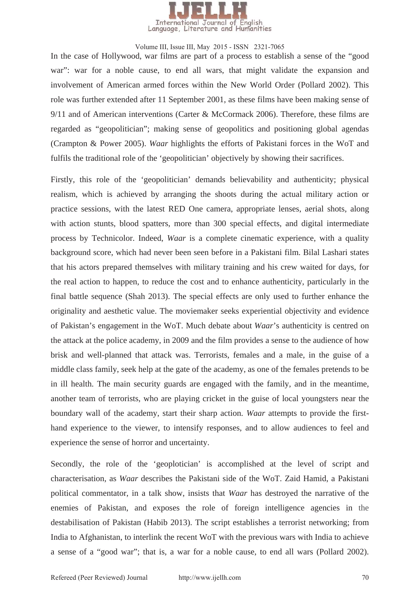

In the case of Hollywood, war films are part of a process to establish a sense of the "good war": war for a noble cause, to end all wars, that might validate the expansion and involvement of American armed forces within the New World Order (Pollard 2002). This role was further extended after 11 September 2001, as these films have been making sense of 9/11 and of American interventions (Carter & McCormack 2006). Therefore, these films are regarded as "geopolitician"; making sense of geopolitics and positioning global agendas (Crampton & Power 2005). *Waar* highlights the efforts of Pakistani forces in the WoT and fulfils the traditional role of the 'geopolitician' objectively by showing their sacrifices.

Firstly, this role of the 'geopolitician' demands believability and authenticity; physical realism, which is achieved by arranging the shoots during the actual military action or practice sessions, with the latest RED One camera, appropriate lenses, aerial shots, along with action stunts, blood spatters, more than 300 special effects, and digital intermediate process by Technicolor. Indeed, *Waar* is a complete cinematic experience, with a quality background score, which had never been seen before in a Pakistani film. Bilal Lashari states that his actors prepared themselves with military training and his crew waited for days, for the real action to happen, to reduce the cost and to enhance authenticity, particularly in the final battle sequence (Shah 2013). The special effects are only used to further enhance the originality and aesthetic value. The moviemaker seeks experiential objectivity and evidence of Pakistan's engagement in the WoT. Much debate about *Waar*'s authenticity is centred on the attack at the police academy, in 2009 and the film provides a sense to the audience of how brisk and well-planned that attack was. Terrorists, females and a male, in the guise of a middle class family, seek help at the gate of the academy, as one of the females pretends to be in ill health. The main security guards are engaged with the family, and in the meantime, another team of terrorists, who are playing cricket in the guise of local youngsters near the boundary wall of the academy, start their sharp action. *Waar* attempts to provide the firsthand experience to the viewer, to intensify responses, and to allow audiences to feel and experience the sense of horror and uncertainty.

Secondly, the role of the 'geoplotician' is accomplished at the level of script and characterisation, as *Waar* describes the Pakistani side of the WoT. Zaid Hamid, a Pakistani political commentator, in a talk show, insists that *Waar* has destroyed the narrative of the enemies of Pakistan, and exposes the role of foreign intelligence agencies in the destabilisation of Pakistan (Habib 2013). The script establishes a terrorist networking; from India to Afghanistan, to interlink the recent WoT with the previous wars with India to achieve a sense of a "good war"; that is, a war for a noble cause, to end all wars (Pollard 2002).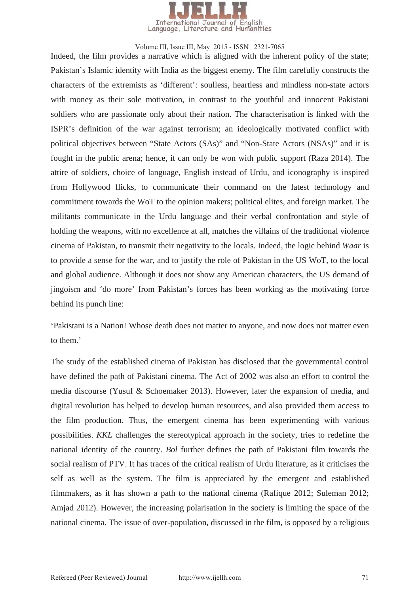

Indeed, the film provides a narrative which is aligned with the inherent policy of the state; Pakistan's Islamic identity with India as the biggest enemy. The film carefully constructs the characters of the extremists as 'different': soulless, heartless and mindless non-state actors with money as their sole motivation, in contrast to the youthful and innocent Pakistani soldiers who are passionate only about their nation. The characterisation is linked with the ISPR's definition of the war against terrorism; an ideologically motivated conflict with political objectives between "State Actors (SAs)" and "Non-State Actors (NSAs)" and it is fought in the public arena; hence, it can only be won with public support (Raza 2014). The attire of soldiers, choice of language, English instead of Urdu, and iconography is inspired from Hollywood flicks, to communicate their command on the latest technology and commitment towards the WoT to the opinion makers; political elites, and foreign market. The militants communicate in the Urdu language and their verbal confrontation and style of holding the weapons, with no excellence at all, matches the villains of the traditional violence cinema of Pakistan, to transmit their negativity to the locals. Indeed, the logic behind *Waar* is to provide a sense for the war, and to justify the role of Pakistan in the US WoT, to the local and global audience. Although it does not show any American characters, the US demand of jingoism and 'do more' from Pakistan's forces has been working as the motivating force behind its punch line:

'Pakistani is a Nation! Whose death does not matter to anyone, and now does not matter even to them.'

The study of the established cinema of Pakistan has disclosed that the governmental control have defined the path of Pakistani cinema. The Act of 2002 was also an effort to control the media discourse (Yusuf & Schoemaker 2013). However, later the expansion of media, and digital revolution has helped to develop human resources, and also provided them access to the film production. Thus, the emergent cinema has been experimenting with various possibilities. *KKL* challenges the stereotypical approach in the society, tries to redefine the national identity of the country. *Bol* further defines the path of Pakistani film towards the social realism of PTV. It has traces of the critical realism of Urdu literature, as it criticises the self as well as the system. The film is appreciated by the emergent and established filmmakers, as it has shown a path to the national cinema (Rafique 2012; Suleman 2012; Amjad 2012). However, the increasing polarisation in the society is limiting the space of the national cinema. The issue of over-population, discussed in the film, is opposed by a religious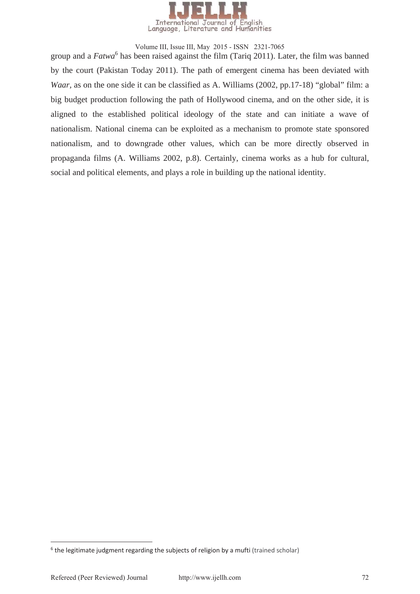

group and a *Fatwa*<sup>6</sup> has been raised against the film (Tariq 2011). Later, the film was banned by the court (Pakistan Today 2011). The path of emergent cinema has been deviated with *Waar*, as on the one side it can be classified as A. Williams (2002, pp.17-18) "global" film: a big budget production following the path of Hollywood cinema, and on the other side, it is aligned to the established political ideology of the state and can initiate a wave of nationalism. National cinema can be exploited as a mechanism to promote state sponsored nationalism, and to downgrade other values, which can be more directly observed in propaganda films (A. Williams 2002, p.8). Certainly, cinema works as a hub for cultural, social and political elements, and plays a role in building up the national identity.

 $6$  the legitimate judgment regarding the subjects of religion by a mufti (trained scholar)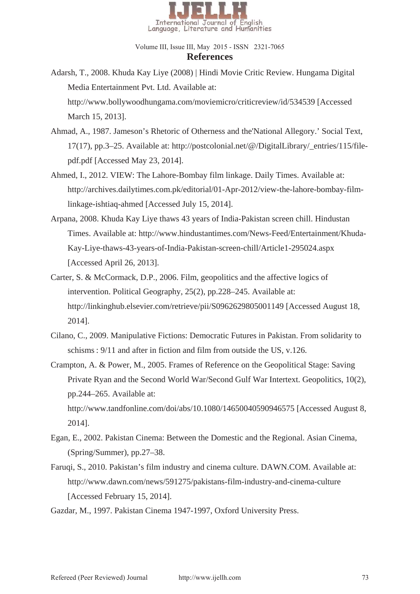

## **References**  Volume III, Issue III, May 2015 - ISSN 2321-7065

- Adarsh, T., 2008. Khuda Kay Liye (2008) | Hindi Movie Critic Review. Hungama Digital Media Entertainment Pvt. Ltd. Available at: http://www.bollywoodhungama.com/moviemicro/criticreview/id/534539 [Accessed March 15, 2013].
- Ahmad, A., 1987. Jameson's Rhetoric of Otherness and the'National Allegory.' Social Text, 17(17), pp.3–25. Available at: http://postcolonial.net/@/DigitalLibrary/\_entries/115/filepdf.pdf [Accessed May 23, 2014].
- Ahmed, I., 2012. VIEW: The Lahore-Bombay film linkage. Daily Times. Available at: http://archives.dailytimes.com.pk/editorial/01-Apr-2012/view-the-lahore-bombay-filmlinkage-ishtiaq-ahmed [Accessed July 15, 2014].
- Arpana, 2008. Khuda Kay Liye thaws 43 years of India-Pakistan screen chill. Hindustan Times. Available at: http://www.hindustantimes.com/News-Feed/Entertainment/Khuda-Kay-Liye-thaws-43-years-of-India-Pakistan-screen-chill/Article1-295024.aspx [Accessed April 26, 2013].
- Carter, S. & McCormack, D.P., 2006. Film, geopolitics and the affective logics of intervention. Political Geography, 25(2), pp.228–245. Available at: http://linkinghub.elsevier.com/retrieve/pii/S0962629805001149 [Accessed August 18, 2014].
- Cilano, C., 2009. Manipulative Fictions: Democratic Futures in Pakistan. From solidarity to schisms : 9/11 and after in fiction and film from outside the US, v.126.
- Crampton, A. & Power, M., 2005. Frames of Reference on the Geopolitical Stage: Saving Private Ryan and the Second World War/Second Gulf War Intertext. Geopolitics, 10(2), pp.244–265. Available at: http://www.tandfonline.com/doi/abs/10.1080/14650040590946575 [Accessed August 8, 2014].
- Egan, E., 2002. Pakistan Cinema: Between the Domestic and the Regional. Asian Cinema, (Spring/Summer), pp.27–38.
- Faruqi, S., 2010. Pakistan's film industry and cinema culture. DAWN.COM. Available at: http://www.dawn.com/news/591275/pakistans-film-industry-and-cinema-culture [Accessed February 15, 2014].

Gazdar, M., 1997. Pakistan Cinema 1947-1997, Oxford University Press.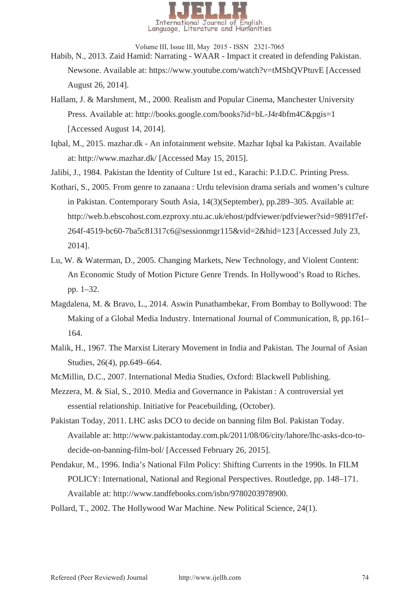

- Habib, N., 2013. Zaid Hamid: Narrating WAAR Impact it created in defending Pakistan. Newsone. Available at: https://www.youtube.com/watch?v=tMShQVPtuvE [Accessed August 26, 2014].
- Hallam, J. & Marshment, M., 2000. Realism and Popular Cinema, Manchester University Press. Available at: http://books.google.com/books?id=bL-J4r4bfm4C&pgis=1 [Accessed August 14, 2014].
- Iqbal, M., 2015. mazhar.dk An infotainment website. Mazhar Iqbal ka Pakistan. Available at: http://www.mazhar.dk/ [Accessed May 15, 2015].

Jalibi, J., 1984. Pakistan the Identity of Culture 1st ed., Karachi: P.I.D.C. Printing Press.

- Kothari, S., 2005. From genre to zanaana : Urdu television drama serials and women's culture in Pakistan. Contemporary South Asia, 14(3)(September), pp.289–305. Available at: http://web.b.ebscohost.com.ezproxy.ntu.ac.uk/ehost/pdfviewer/pdfviewer?sid=9891f7ef-264f-4519-bc60-7ba5c81317c6@sessionmgr115&vid=2&hid=123 [Accessed July 23, 2014].
- Lu, W. & Waterman, D., 2005. Changing Markets, New Technology, and Violent Content: An Economic Study of Motion Picture Genre Trends. In Hollywood's Road to Riches. pp. 1–32.
- Magdalena, M. & Bravo, L., 2014. Aswin Punathambekar, From Bombay to Bollywood: The Making of a Global Media Industry. International Journal of Communication, 8, pp.161– 164.
- Malik, H., 1967. The Marxist Literary Movement in India and Pakistan. The Journal of Asian Studies, 26(4), pp.649–664.
- McMillin, D.C., 2007. International Media Studies, Oxford: Blackwell Publishing.
- Mezzera, M. & Sial, S., 2010. Media and Governance in Pakistan : A controversial yet essential relationship. Initiative for Peacebuilding, (October).
- Pakistan Today, 2011. LHC asks DCO to decide on banning film Bol. Pakistan Today. Available at: http://www.pakistantoday.com.pk/2011/08/06/city/lahore/lhc-asks-dco-todecide-on-banning-film-bol/ [Accessed February 26, 2015].
- Pendakur, M., 1996. India's National Film Policy: Shifting Currents in the 1990s. In FILM POLICY: International, National and Regional Perspectives. Routledge, pp. 148–171. Available at: http://www.tandfebooks.com/isbn/9780203978900.
- Pollard, T., 2002. The Hollywood War Machine. New Political Science, 24(1).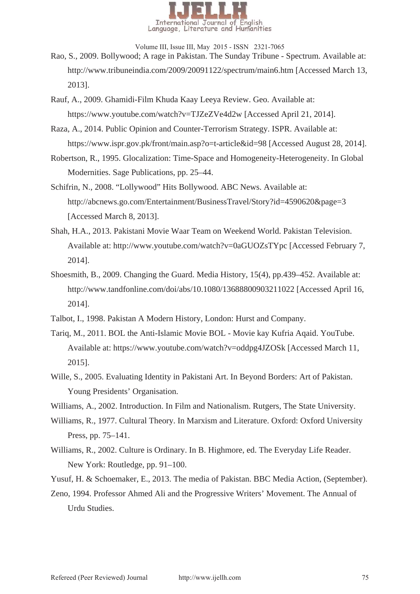

- Rao, S., 2009. Bollywood; A rage in Pakistan. The Sunday Tribune Spectrum. Available at: http://www.tribuneindia.com/2009/20091122/spectrum/main6.htm [Accessed March 13, 2013].
- Rauf, A., 2009. Ghamidi-Film Khuda Kaay Leeya Review. Geo. Available at: https://www.youtube.com/watch?v=TJZeZVe4d2w [Accessed April 21, 2014].
- Raza, A., 2014. Public Opinion and Counter-Terrorism Strategy. ISPR. Available at: https://www.ispr.gov.pk/front/main.asp?o=t-article&id=98 [Accessed August 28, 2014].
- Robertson, R., 1995. Glocalization: Time-Space and Homogeneity-Heterogeneity. In Global Modernities. Sage Publications, pp. 25–44.
- Schifrin, N., 2008. "Lollywood" Hits Bollywood. ABC News. Available at: http://abcnews.go.com/Entertainment/BusinessTravel/Story?id=4590620&page=3 [Accessed March 8, 2013].
- Shah, H.A., 2013. Pakistani Movie Waar Team on Weekend World. Pakistan Television. Available at: http://www.youtube.com/watch?v=0aGUOZsTYpc [Accessed February 7, 2014].
- Shoesmith, B., 2009. Changing the Guard. Media History, 15(4), pp.439–452. Available at: http://www.tandfonline.com/doi/abs/10.1080/13688800903211022 [Accessed April 16, 2014].
- Talbot, I., 1998. Pakistan A Modern History, London: Hurst and Company.
- Tariq, M., 2011. BOL the Anti-Islamic Movie BOL Movie kay Kufria Aqaid. YouTube. Available at: https://www.youtube.com/watch?v=oddpg4JZOSk [Accessed March 11, 2015].
- Wille, S., 2005. Evaluating Identity in Pakistani Art. In Beyond Borders: Art of Pakistan. Young Presidents' Organisation.
- Williams, A., 2002. Introduction. In Film and Nationalism. Rutgers, The State University.
- Williams, R., 1977. Cultural Theory. In Marxism and Literature. Oxford: Oxford University Press, pp. 75–141.
- Williams, R., 2002. Culture is Ordinary. In B. Highmore, ed. The Everyday Life Reader. New York: Routledge, pp. 91–100.
- Yusuf, H. & Schoemaker, E., 2013. The media of Pakistan. BBC Media Action, (September).
- Zeno, 1994. Professor Ahmed Ali and the Progressive Writers' Movement. The Annual of Urdu Studies.